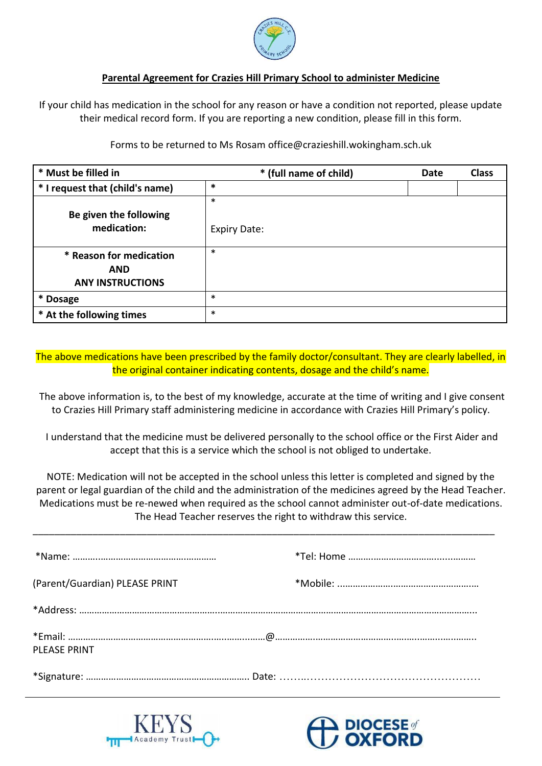

## **Parental Agreement for Crazies Hill Primary School to administer Medicine**

If your child has medication in the school for any reason or have a condition not reported, please update their medical record form. If you are reporting a new condition, please fill in this form.

Forms to be returned to Ms Rosam office@crazieshill.wokingham.sch.uk

| * Must be filled in                                              | * (full name of child)        | <b>Date</b> | <b>Class</b> |
|------------------------------------------------------------------|-------------------------------|-------------|--------------|
| * I request that (child's name)                                  | $\ast$                        |             |              |
| Be given the following<br>medication:                            | $\ast$<br><b>Expiry Date:</b> |             |              |
| * Reason for medication<br><b>AND</b><br><b>ANY INSTRUCTIONS</b> | $\ast$                        |             |              |
| * Dosage                                                         | $\ast$                        |             |              |
| * At the following times                                         | $\ast$                        |             |              |

The above medications have been prescribed by the family doctor/consultant. They are clearly labelled, in the original container indicating contents, dosage and the child's name.

The above information is, to the best of my knowledge, accurate at the time of writing and I give consent to Crazies Hill Primary staff administering medicine in accordance with Crazies Hill Primary's policy.

I understand that the medicine must be delivered personally to the school office or the First Aider and accept that this is a service which the school is not obliged to undertake.

NOTE: Medication will not be accepted in the school unless this letter is completed and signed by the parent or legal guardian of the child and the administration of the medicines agreed by the Head Teacher. Medications must be re-newed when required as the school cannot administer out-of-date medications. The Head Teacher reserves the right to withdraw this service.

\_\_\_\_\_\_\_\_\_\_\_\_\_\_\_\_\_\_\_\_\_\_\_\_\_\_\_\_\_\_\_\_\_\_\_\_\_\_\_\_\_\_\_\_\_\_\_\_\_\_\_\_\_\_\_\_\_\_\_\_\_\_\_\_\_\_\_\_\_\_\_\_\_\_\_\_\_\_\_\_\_\_\_\_\_

| (Parent/Guardian) PLEASE PRINT |  |
|--------------------------------|--|
|                                |  |
| PLEASE PRINT                   |  |
|                                |  |